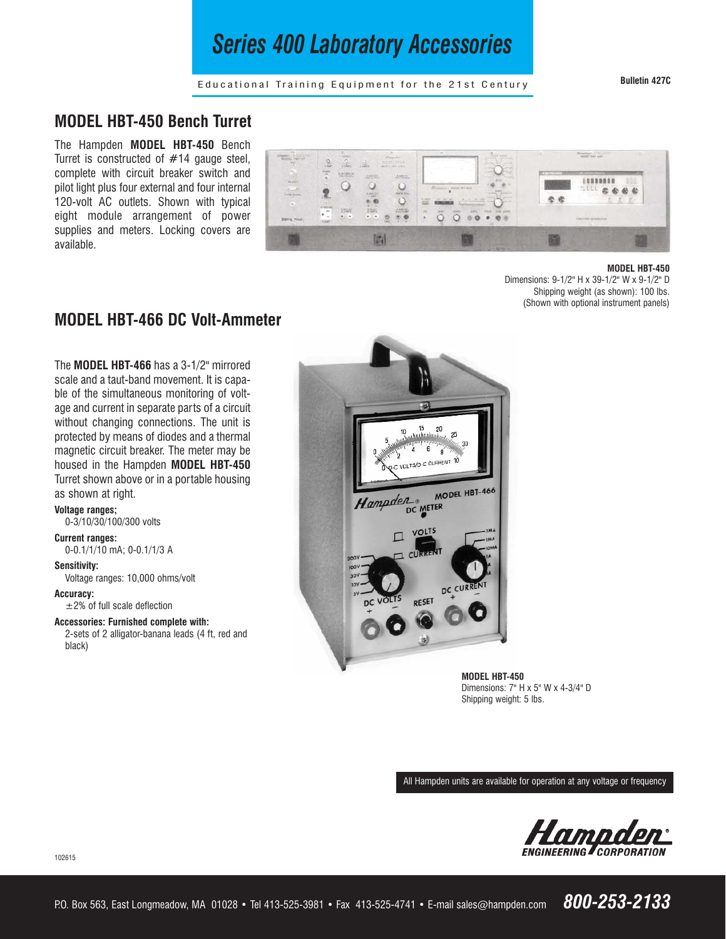# *Series 400 Laboratory Accessories*

**Bulletin 427C**

Educational Training Equipment for the 21st Century

## **MODEL HBT-450 Bench Turret**

The Hampden **MODEL HBT-450** Bench Turret is constructed of #14 gauge steel, complete with circuit breaker switch and pilot light plus four external and four internal 120-volt AC outlets. Shown with typical eight module arrangement of power supplies and meters. Locking covers are available.



#### **MODEL HBT-450**

Dimensions: 9-1/2" H x 39-1/2" W x 9-1/2" D Shipping weight (as shown): 100 lbs. (Shown with optional instrument panels)

## **MODEL HBT-466 DC Volt-Ammeter**

The **MODEL HBT-466** has a 3-1/2" mirrored scale and a taut-band movement. It is capable of the simultaneous monitoring of voltage and current in separate parts of a circuit without changing connections. The unit is protected by means of diodes and a thermal magnetic circuit breaker. The meter may be housed in the Hampden **MODEL HBT-450** Turret shown above or in a portable housing as shown at right.

**Voltage ranges;** 0-3/10/30/100/300 volts

### **Current ranges:**

0-0.1/1/10 mA; 0-0.1/1/3 A

#### **Sensitivity:**

Voltage ranges: 10,000 ohms/volt

**Accuracy:**

±2% of full scale deflection

**Accessories: Furnished complete with:**

2-sets of 2 alligator-banana leads (4 ft, red and black)



**MODEL HBT-450** Dimensions: 7" H x 5" W x 4-3/4" D Shipping weight: 5 lbs.

All Hampden units are available for operation at any voltage or frequency